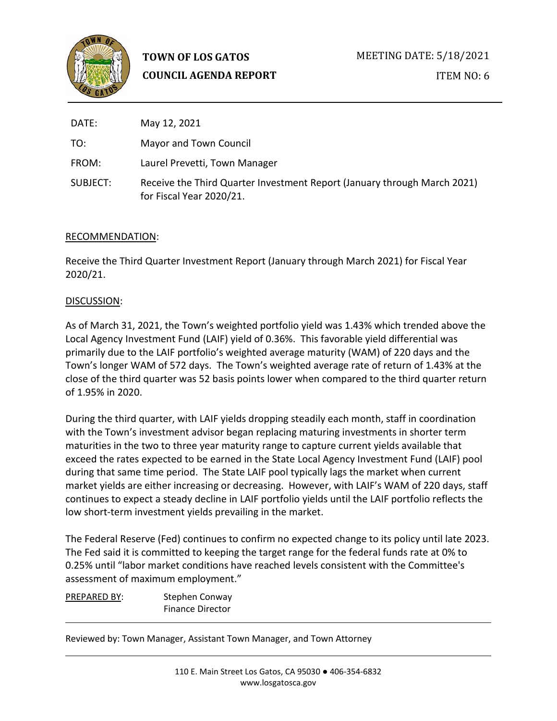

**TOWN OF LOS GATOS COUNCIL AGENDA REPORT** MEETING DATE: 5/18/2021 ITEM NO: 6

| DATE:    | May 12, 2021                                                                                         |
|----------|------------------------------------------------------------------------------------------------------|
| TO:      | Mayor and Town Council                                                                               |
| FROM:    | Laurel Prevetti, Town Manager                                                                        |
| SUBJECT: | Receive the Third Quarter Investment Report (January through March 2021)<br>for Fiscal Year 2020/21. |

## RECOMMENDATION:

Receive the Third Quarter Investment Report (January through March 2021) for Fiscal Year 2020/21.

## DISCUSSION:

As of March 31, 2021, the Town's weighted portfolio yield was 1.43% which trended above the Local Agency Investment Fund (LAIF) yield of 0.36%. This favorable yield differential was primarily due to the LAIF portfolio's weighted average maturity (WAM) of 220 days and the Town's longer WAM of 572 days. The Town's weighted average rate of return of 1.43% at the close of the third quarter was 52 basis points lower when compared to the third quarter return of 1.95% in 2020.

During the third quarter, with LAIF yields dropping steadily each month, staff in coordination with the Town's investment advisor began replacing maturing investments in shorter term maturities in the two to three year maturity range to capture current yields available that exceed the rates expected to be earned in the State Local Agency Investment Fund (LAIF) pool during that same time period. The State LAIF pool typically lags the market when current market yields are either increasing or decreasing. However, with LAIF's WAM of 220 days, staff continues to expect a steady decline in LAIF portfolio yields until the LAIF portfolio reflects the low short-term investment yields prevailing in the market.

The Federal Reserve (Fed) continues to confirm no expected change to its policy until late 2023. The Fed said it is committed to keeping the target range for the federal funds rate at 0% to 0.25% until "labor market conditions have reached levels consistent with the Committee's assessment of maximum employment."

PREPARED BY: Stephen Conway Finance Director

Reviewed by: Town Manager, Assistant Town Manager, and Town Attorney